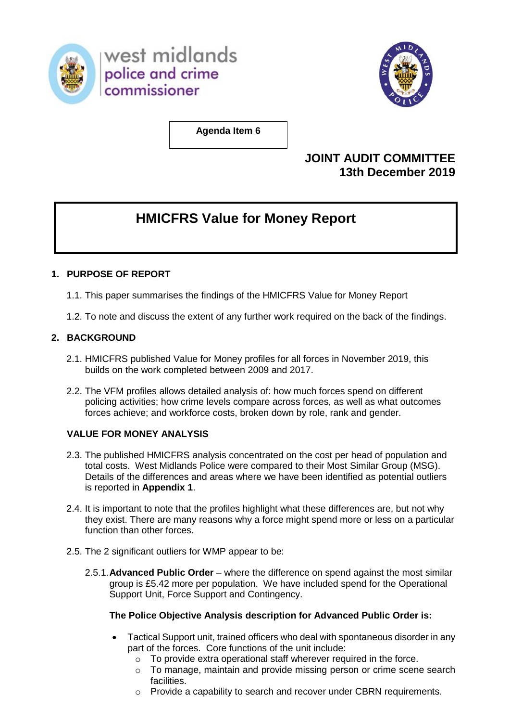

west midlands police and crime commissioner



**Agenda Item 6**

## **JOINT AUDIT COMMITTEE 13th December 2019**

# **HMICFRS Value for Money Report**

### **1. PURPOSE OF REPORT**

- 1.1. This paper summarises the findings of the HMICFRS Value for Money Report
- 1.2. To note and discuss the extent of any further work required on the back of the findings.

#### **2. BACKGROUND**

- 2.1. HMICFRS published Value for Money profiles for all forces in November 2019, this builds on the work completed between 2009 and 2017.
- 2.2. The VFM profiles allows detailed analysis of: how much forces spend on different policing activities; how crime levels compare across forces, as well as what outcomes forces achieve; and workforce costs, broken down by role, rank and gender.

#### **VALUE FOR MONEY ANALYSIS**

- 2.3. The published HMICFRS analysis concentrated on the cost per head of population and total costs. West Midlands Police were compared to their Most Similar Group (MSG). Details of the differences and areas where we have been identified as potential outliers is reported in **Appendix 1**.
- 2.4. It is important to note that the profiles highlight what these differences are, but not why they exist. There are many reasons why a force might spend more or less on a particular function than other forces.
- 2.5. The 2 significant outliers for WMP appear to be:
	- 2.5.1.**Advanced Public Order** where the difference on spend against the most similar group is £5.42 more per population. We have included spend for the Operational Support Unit, Force Support and Contingency.

#### **The Police Objective Analysis description for Advanced Public Order is:**

- Tactical Support unit, trained officers who deal with spontaneous disorder in any part of the forces. Core functions of the unit include:
	- o To provide extra operational staff wherever required in the force.
	- o To manage, maintain and provide missing person or crime scene search facilities.
	- o Provide a capability to search and recover under CBRN requirements.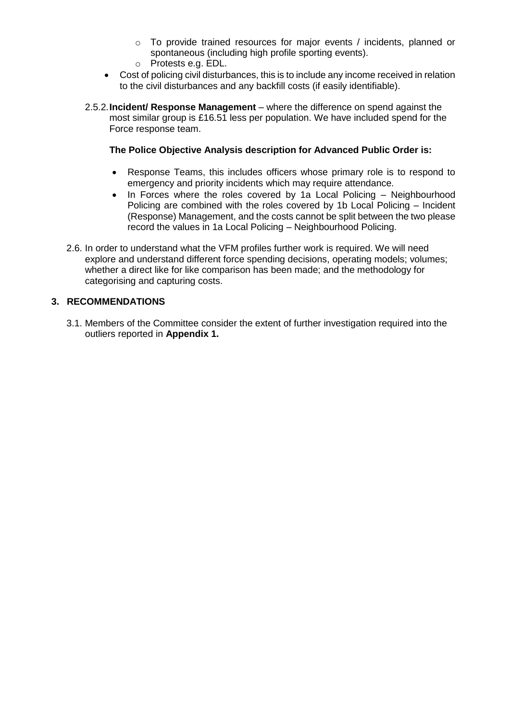- o To provide trained resources for major events / incidents, planned or spontaneous (including high profile sporting events).
- o Protests e.g. EDL.
- Cost of policing civil disturbances, this is to include any income received in relation to the civil disturbances and any backfill costs (if easily identifiable).
- 2.5.2.**Incident/ Response Management**  where the difference on spend against the most similar group is £16.51 less per population. We have included spend for the Force response team.

#### **The Police Objective Analysis description for Advanced Public Order is:**

- Response Teams, this includes officers whose primary role is to respond to emergency and priority incidents which may require attendance.
- $\bullet$  In Forces where the roles covered by 1a Local Policing  $-$  Neighbourhood Policing are combined with the roles covered by 1b Local Policing – Incident (Response) Management, and the costs cannot be split between the two please record the values in 1a Local Policing – Neighbourhood Policing.
- 2.6. In order to understand what the VFM profiles further work is required. We will need explore and understand different force spending decisions, operating models; volumes; whether a direct like for like comparison has been made; and the methodology for categorising and capturing costs.

#### **3. RECOMMENDATIONS**

3.1. Members of the Committee consider the extent of further investigation required into the outliers reported in **Appendix 1.**